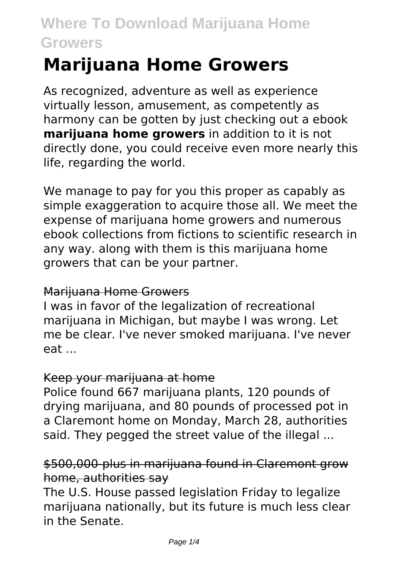# **Marijuana Home Growers**

As recognized, adventure as well as experience virtually lesson, amusement, as competently as harmony can be gotten by just checking out a ebook **marijuana home growers** in addition to it is not directly done, you could receive even more nearly this life, regarding the world.

We manage to pay for you this proper as capably as simple exaggeration to acquire those all. We meet the expense of marijuana home growers and numerous ebook collections from fictions to scientific research in any way. along with them is this marijuana home growers that can be your partner.

#### Marijuana Home Growers

I was in favor of the legalization of recreational marijuana in Michigan, but maybe I was wrong. Let me be clear. I've never smoked marijuana. I've never eat ...

#### Keep your marijuana at home

Police found 667 marijuana plants, 120 pounds of drying marijuana, and 80 pounds of processed pot in a Claremont home on Monday, March 28, authorities said. They pegged the street value of the illegal ...

### \$500,000-plus in marijuana found in Claremont grow home, authorities say

The U.S. House passed legislation Friday to legalize marijuana nationally, but its future is much less clear in the Senate.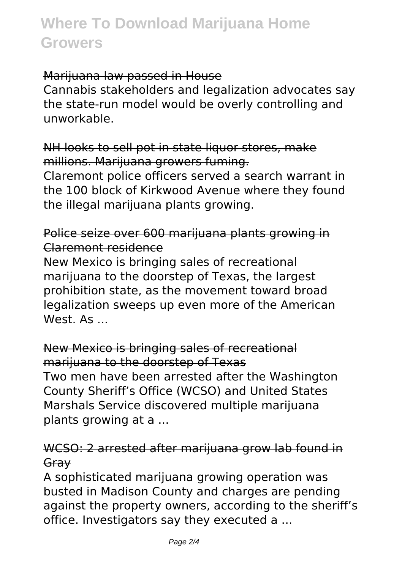#### Marijuana law passed in House

Cannabis stakeholders and legalization advocates say the state-run model would be overly controlling and unworkable.

NH looks to sell pot in state liquor stores, make millions. Marijuana growers fuming.

Claremont police officers served a search warrant in the 100 block of Kirkwood Avenue where they found the illegal marijuana plants growing.

### Police seize over 600 marijuana plants growing in Claremont residence

New Mexico is bringing sales of recreational marijuana to the doorstep of Texas, the largest prohibition state, as the movement toward broad legalization sweeps up even more of the American  $W$ est  $\Delta$ s

New Mexico is bringing sales of recreational marijuana to the doorstep of Texas Two men have been arrested after the Washington County Sheriff's Office (WCSO) and United States Marshals Service discovered multiple marijuana plants growing at a ...

### WCSO: 2 arrested after marijuana grow lab found in Gray

A sophisticated marijuana growing operation was busted in Madison County and charges are pending against the property owners, according to the sheriff's office. Investigators say they executed a ...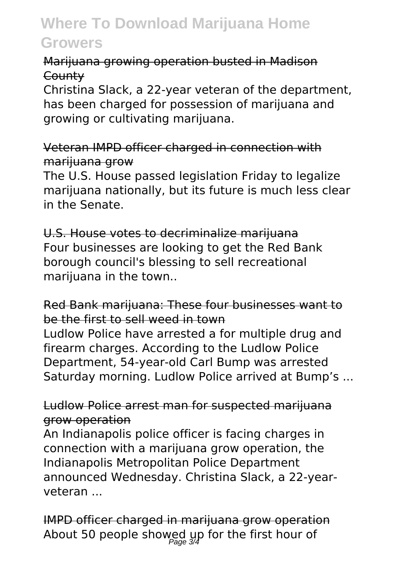### Marijuana growing operation busted in Madison **County**

Christina Slack, a 22-year veteran of the department, has been charged for possession of marijuana and growing or cultivating marijuana.

Veteran IMPD officer charged in connection with marijuana grow

The U.S. House passed legislation Friday to legalize marijuana nationally, but its future is much less clear in the Senate.

U.S. House votes to decriminalize marijuana Four businesses are looking to get the Red Bank borough council's blessing to sell recreational marijuana in the town...

### Red Bank marijuana: These four businesses want to be the first to sell weed in town

Ludlow Police have arrested a for multiple drug and firearm charges. According to the Ludlow Police Department, 54-year-old Carl Bump was arrested Saturday morning. Ludlow Police arrived at Bump's ...

### Ludlow Police arrest man for suspected marijuana grow operation

An Indianapolis police officer is facing charges in connection with a marijuana grow operation, the Indianapolis Metropolitan Police Department announced Wednesday. Christina Slack, a 22-yearveteran ...

IMPD officer charged in marijuana grow operation About 50 people showed up for the first hour of